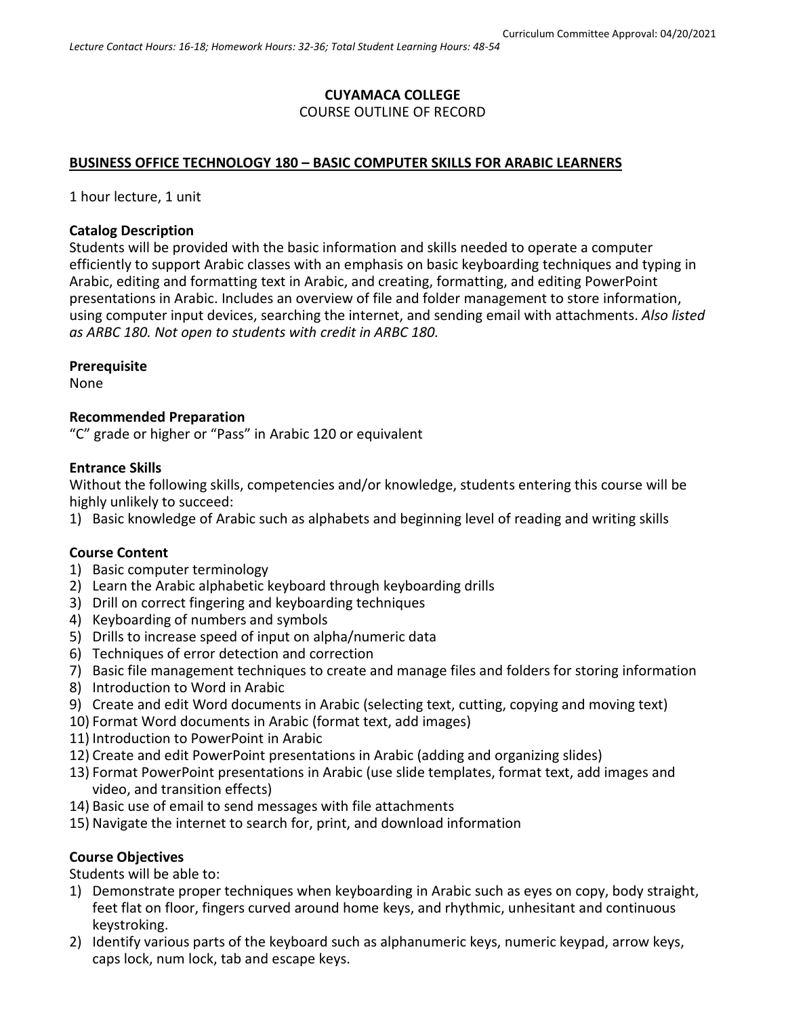# **CUYAMACA COLLEGE** COURSE OUTLINE OF RECORD

### **BUSINESS OFFICE TECHNOLOGY 180 – BASIC COMPUTER SKILLS FOR ARABIC LEARNERS**

1 hour lecture, 1 unit

### **Catalog Description**

Students will be provided with the basic information and skills needed to operate a computer efficiently to support Arabic classes with an emphasis on basic keyboarding techniques and typing in Arabic, editing and formatting text in Arabic, and creating, formatting, and editing PowerPoint presentations in Arabic. Includes an overview of file and folder management to store information, using computer input devices, searching the internet, and sending email with attachments. *Also listed as ARBC 180. Not open to students with credit in ARBC 180.*

### **Prerequisite**

None

### **Recommended Preparation**

"C" grade or higher or "Pass" in Arabic 120 or equivalent

#### **Entrance Skills**

Without the following skills, competencies and/or knowledge, students entering this course will be highly unlikely to succeed:

1) Basic knowledge of Arabic such as alphabets and beginning level of reading and writing skills

### **Course Content**

- 1) Basic computer terminology
- 2) Learn the Arabic alphabetic keyboard through keyboarding drills
- 3) Drill on correct fingering and keyboarding techniques
- 4) Keyboarding of numbers and symbols
- 5) Drills to increase speed of input on alpha/numeric data
- 6) Techniques of error detection and correction
- 7) Basic file management techniques to create and manage files and folders for storing information
- 8) Introduction to Word in Arabic
- 9) Create and edit Word documents in Arabic (selecting text, cutting, copying and moving text)
- 10) Format Word documents in Arabic (format text, add images)
- 11) Introduction to PowerPoint in Arabic
- 12) Create and edit PowerPoint presentations in Arabic (adding and organizing slides)
- 13) Format PowerPoint presentations in Arabic (use slide templates, format text, add images and video, and transition effects)
- 14) Basic use of email to send messages with file attachments
- 15) Navigate the internet to search for, print, and download information

### **Course Objectives**

Students will be able to:

- 1) Demonstrate proper techniques when keyboarding in Arabic such as eyes on copy, body straight, feet flat on floor, fingers curved around home keys, and rhythmic, unhesitant and continuous keystroking.
- 2) Identify various parts of the keyboard such as alphanumeric keys, numeric keypad, arrow keys, caps lock, num lock, tab and escape keys.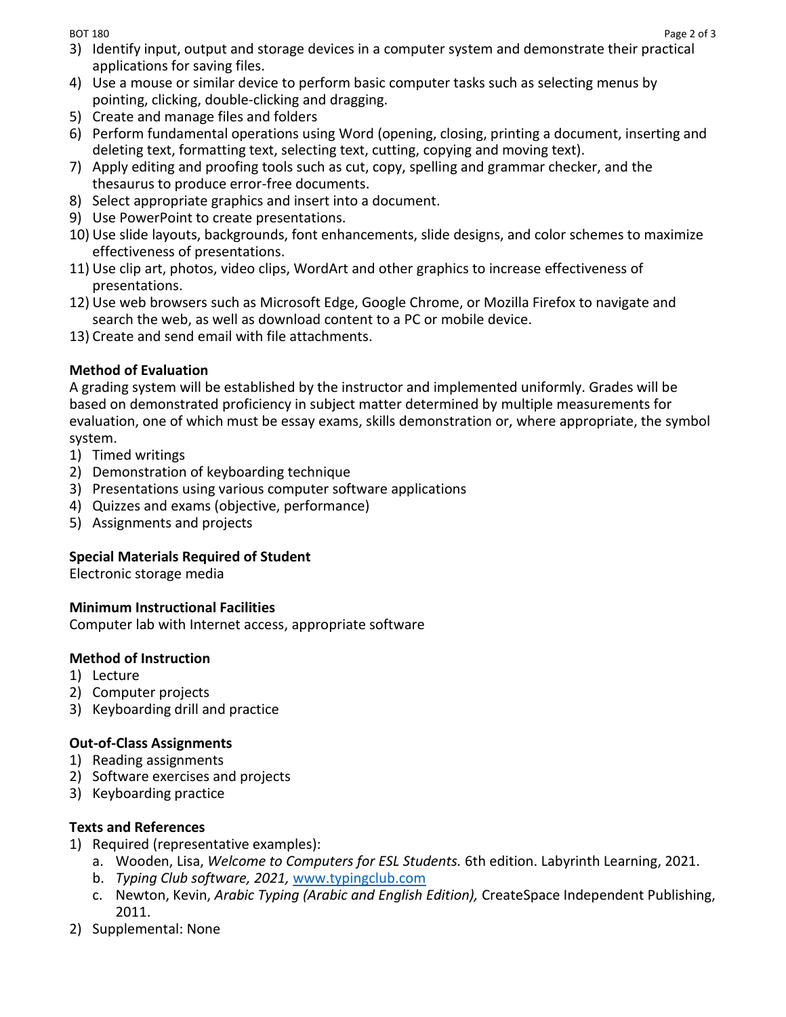- 3) Identify input, output and storage devices in a computer system and demonstrate their practical applications for saving files.
- 4) Use a mouse or similar device to perform basic computer tasks such as selecting menus by pointing, clicking, double-clicking and dragging.
- 5) Create and manage files and folders
- 6) Perform fundamental operations using Word (opening, closing, printing a document, inserting and deleting text, formatting text, selecting text, cutting, copying and moving text).
- 7) Apply editing and proofing tools such as cut, copy, spelling and grammar checker, and the thesaurus to produce error-free documents.
- 8) Select appropriate graphics and insert into a document.
- 9) Use PowerPoint to create presentations.
- 10) Use slide layouts, backgrounds, font enhancements, slide designs, and color schemes to maximize effectiveness of presentations.
- 11) Use clip art, photos, video clips, WordArt and other graphics to increase effectiveness of presentations.
- 12) Use web browsers such as Microsoft Edge, Google Chrome, or Mozilla Firefox to navigate and search the web, as well as download content to a PC or mobile device.
- 13) Create and send email with file attachments.

# **Method of Evaluation**

A grading system will be established by the instructor and implemented uniformly. Grades will be based on demonstrated proficiency in subject matter determined by multiple measurements for evaluation, one of which must be essay exams, skills demonstration or, where appropriate, the symbol system.

- 1) Timed writings
- 2) Demonstration of keyboarding technique
- 3) Presentations using various computer software applications
- 4) Quizzes and exams (objective, performance)
- 5) Assignments and projects

## **Special Materials Required of Student**

Electronic storage media

## **Minimum Instructional Facilities**

Computer lab with Internet access, appropriate software

## **Method of Instruction**

- 1) Lecture
- 2) Computer projects
- 3) Keyboarding drill and practice

## **Out-of-Class Assignments**

- 1) Reading assignments
- 2) Software exercises and projects
- 3) Keyboarding practice

## **Texts and References**

- 1) Required (representative examples):
	- a. Wooden, Lisa, *Welcome to Computers for ESL Students.* 6th edition. Labyrinth Learning, 2021.
	- b. *Typing Club software, 2021,* [www.typingclub.com](http://www.typingclub.com/)
	- c. Newton, Kevin, *Arabic Typing (Arabic and English Edition),* CreateSpace Independent Publishing, 2011.
- 2) Supplemental: None